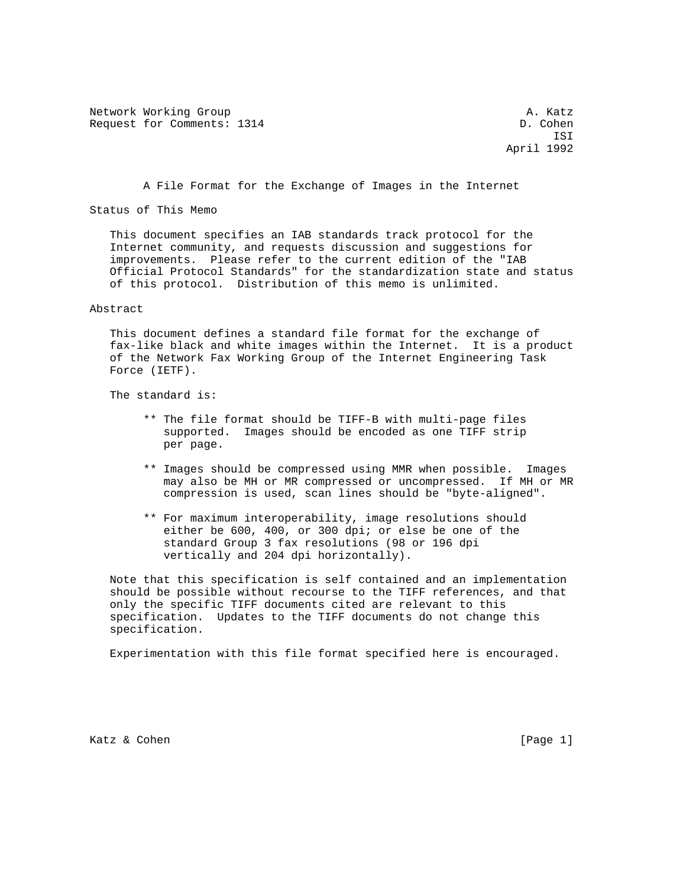Network Working Group and the set of the set of the set of the set of the set of the set of the set of the set of the set of the set of the set of the set of the set of the set of the set of the set of the set of the set o Request for Comments: 1314 D. Cohen

 ISI April 1992

A File Format for the Exchange of Images in the Internet

Status of This Memo

 This document specifies an IAB standards track protocol for the Internet community, and requests discussion and suggestions for improvements. Please refer to the current edition of the "IAB Official Protocol Standards" for the standardization state and status of this protocol. Distribution of this memo is unlimited.

Abstract

 This document defines a standard file format for the exchange of fax-like black and white images within the Internet. It is a product of the Network Fax Working Group of the Internet Engineering Task Force (IETF).

The standard is:

- \*\* The file format should be TIFF-B with multi-page files supported. Images should be encoded as one TIFF strip per page.
- \*\* Images should be compressed using MMR when possible. Images may also be MH or MR compressed or uncompressed. If MH or MR compression is used, scan lines should be "byte-aligned".
- \*\* For maximum interoperability, image resolutions should either be 600, 400, or 300 dpi; or else be one of the standard Group 3 fax resolutions (98 or 196 dpi vertically and 204 dpi horizontally).

 Note that this specification is self contained and an implementation should be possible without recourse to the TIFF references, and that only the specific TIFF documents cited are relevant to this specification. Updates to the TIFF documents do not change this specification.

Experimentation with this file format specified here is encouraged.

Katz & Cohen [Page 1]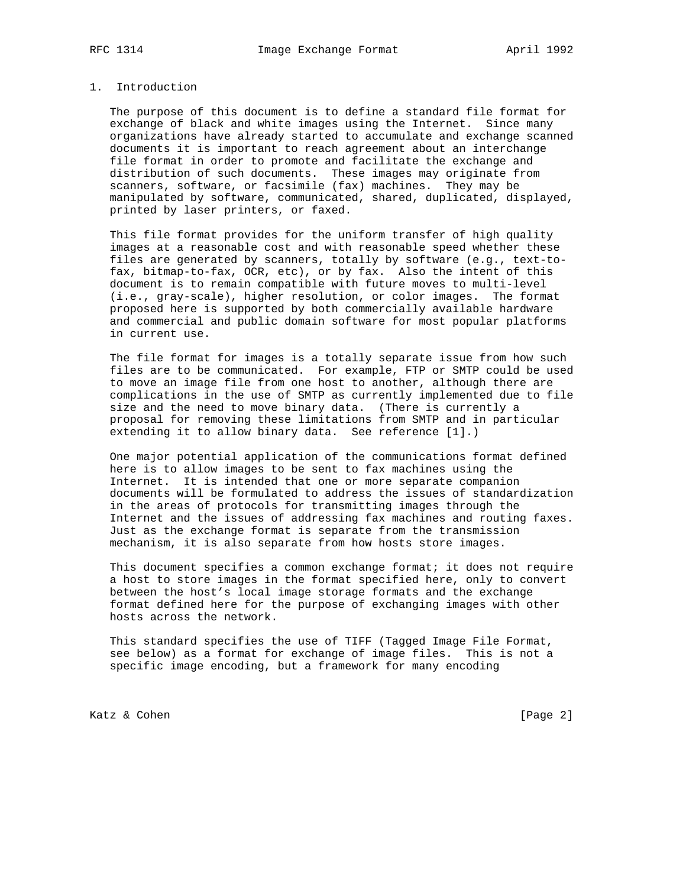### 1. Introduction

 The purpose of this document is to define a standard file format for exchange of black and white images using the Internet. Since many organizations have already started to accumulate and exchange scanned documents it is important to reach agreement about an interchange file format in order to promote and facilitate the exchange and distribution of such documents. These images may originate from scanners, software, or facsimile (fax) machines. They may be manipulated by software, communicated, shared, duplicated, displayed, printed by laser printers, or faxed.

 This file format provides for the uniform transfer of high quality images at a reasonable cost and with reasonable speed whether these files are generated by scanners, totally by software (e.g., text-to fax, bitmap-to-fax, OCR, etc), or by fax. Also the intent of this document is to remain compatible with future moves to multi-level (i.e., gray-scale), higher resolution, or color images. The format proposed here is supported by both commercially available hardware and commercial and public domain software for most popular platforms in current use.

 The file format for images is a totally separate issue from how such files are to be communicated. For example, FTP or SMTP could be used to move an image file from one host to another, although there are complications in the use of SMTP as currently implemented due to file size and the need to move binary data. (There is currently a proposal for removing these limitations from SMTP and in particular extending it to allow binary data. See reference [1].)

 One major potential application of the communications format defined here is to allow images to be sent to fax machines using the Internet. It is intended that one or more separate companion documents will be formulated to address the issues of standardization in the areas of protocols for transmitting images through the Internet and the issues of addressing fax machines and routing faxes. Just as the exchange format is separate from the transmission mechanism, it is also separate from how hosts store images.

This document specifies a common exchange format; it does not require a host to store images in the format specified here, only to convert between the host's local image storage formats and the exchange format defined here for the purpose of exchanging images with other hosts across the network.

 This standard specifies the use of TIFF (Tagged Image File Format, see below) as a format for exchange of image files. This is not a specific image encoding, but a framework for many encoding

Katz & Cohen [Page 2]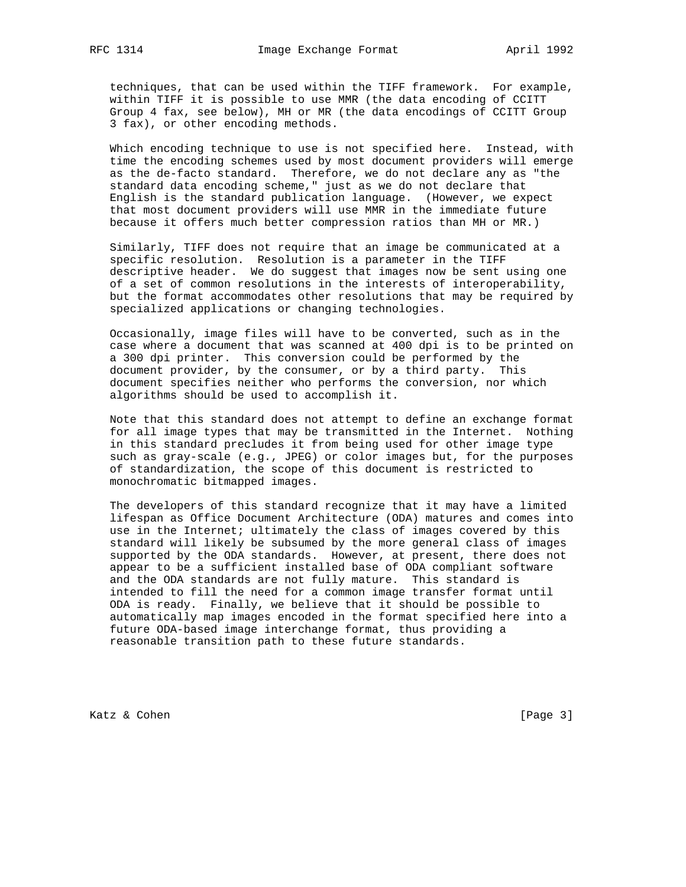techniques, that can be used within the TIFF framework. For example, within TIFF it is possible to use MMR (the data encoding of CCITT Group 4 fax, see below), MH or MR (the data encodings of CCITT Group 3 fax), or other encoding methods.

 Which encoding technique to use is not specified here. Instead, with time the encoding schemes used by most document providers will emerge as the de-facto standard. Therefore, we do not declare any as "the standard data encoding scheme," just as we do not declare that English is the standard publication language. (However, we expect that most document providers will use MMR in the immediate future because it offers much better compression ratios than MH or MR.)

 Similarly, TIFF does not require that an image be communicated at a specific resolution. Resolution is a parameter in the TIFF descriptive header. We do suggest that images now be sent using one of a set of common resolutions in the interests of interoperability, but the format accommodates other resolutions that may be required by specialized applications or changing technologies.

 Occasionally, image files will have to be converted, such as in the case where a document that was scanned at 400 dpi is to be printed on a 300 dpi printer. This conversion could be performed by the document provider, by the consumer, or by a third party. This document specifies neither who performs the conversion, nor which algorithms should be used to accomplish it.

 Note that this standard does not attempt to define an exchange format for all image types that may be transmitted in the Internet. Nothing in this standard precludes it from being used for other image type such as gray-scale (e.g., JPEG) or color images but, for the purposes of standardization, the scope of this document is restricted to monochromatic bitmapped images.

 The developers of this standard recognize that it may have a limited lifespan as Office Document Architecture (ODA) matures and comes into use in the Internet; ultimately the class of images covered by this standard will likely be subsumed by the more general class of images supported by the ODA standards. However, at present, there does not appear to be a sufficient installed base of ODA compliant software and the ODA standards are not fully mature. This standard is intended to fill the need for a common image transfer format until ODA is ready. Finally, we believe that it should be possible to automatically map images encoded in the format specified here into a future ODA-based image interchange format, thus providing a reasonable transition path to these future standards.

Katz & Cohen [Page 3]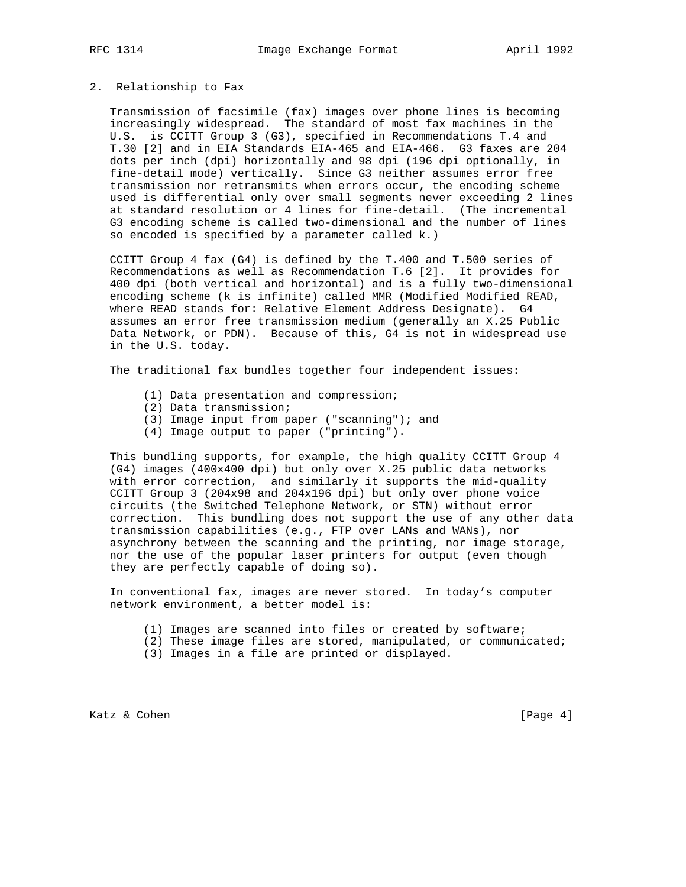#### 2. Relationship to Fax

 Transmission of facsimile (fax) images over phone lines is becoming increasingly widespread. The standard of most fax machines in the U.S. is CCITT Group 3 (G3), specified in Recommendations T.4 and T.30 [2] and in EIA Standards EIA-465 and EIA-466. G3 faxes are 204 dots per inch (dpi) horizontally and 98 dpi (196 dpi optionally, in fine-detail mode) vertically. Since G3 neither assumes error free transmission nor retransmits when errors occur, the encoding scheme used is differential only over small segments never exceeding 2 lines at standard resolution or 4 lines for fine-detail. (The incremental G3 encoding scheme is called two-dimensional and the number of lines so encoded is specified by a parameter called k.)

 CCITT Group 4 fax (G4) is defined by the T.400 and T.500 series of Recommendations as well as Recommendation T.6 [2]. It provides for 400 dpi (both vertical and horizontal) and is a fully two-dimensional encoding scheme (k is infinite) called MMR (Modified Modified READ, where READ stands for: Relative Element Address Designate). G4 assumes an error free transmission medium (generally an X.25 Public Data Network, or PDN). Because of this, G4 is not in widespread use in the U.S. today.

The traditional fax bundles together four independent issues:

- (1) Data presentation and compression;
- (2) Data transmission;
- (3) Image input from paper ("scanning"); and
- (4) Image output to paper ("printing").

 This bundling supports, for example, the high quality CCITT Group 4 (G4) images (400x400 dpi) but only over X.25 public data networks with error correction, and similarly it supports the mid-quality CCITT Group 3 (204x98 and 204x196 dpi) but only over phone voice circuits (the Switched Telephone Network, or STN) without error correction. This bundling does not support the use of any other data transmission capabilities (e.g., FTP over LANs and WANs), nor asynchrony between the scanning and the printing, nor image storage, nor the use of the popular laser printers for output (even though they are perfectly capable of doing so).

 In conventional fax, images are never stored. In today's computer network environment, a better model is:

- (1) Images are scanned into files or created by software;
- (2) These image files are stored, manipulated, or communicated;
- (3) Images in a file are printed or displayed.

Katz & Cohen [Page 4]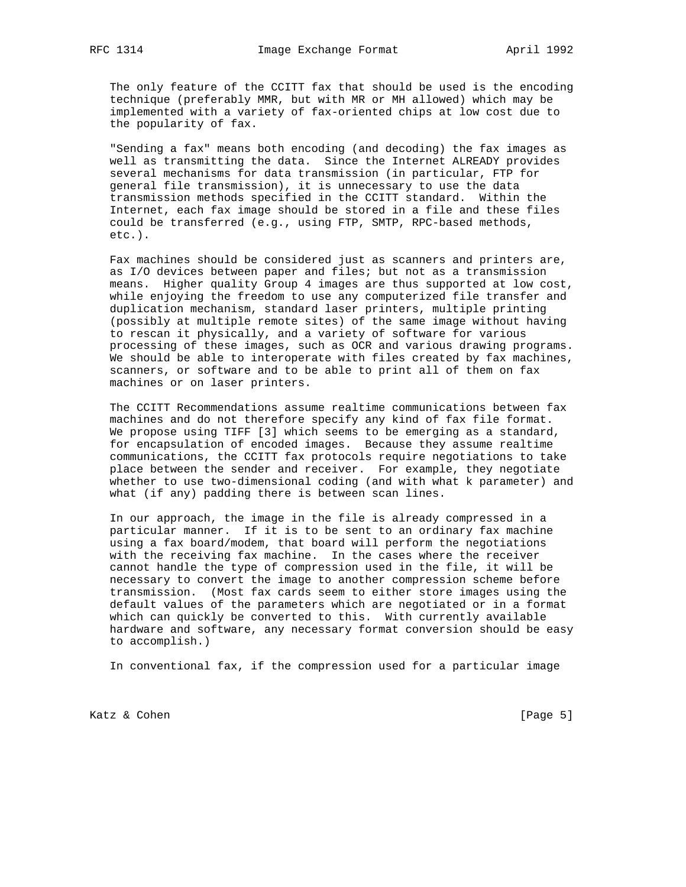The only feature of the CCITT fax that should be used is the encoding technique (preferably MMR, but with MR or MH allowed) which may be implemented with a variety of fax-oriented chips at low cost due to the popularity of fax.

 "Sending a fax" means both encoding (and decoding) the fax images as well as transmitting the data. Since the Internet ALREADY provides several mechanisms for data transmission (in particular, FTP for general file transmission), it is unnecessary to use the data transmission methods specified in the CCITT standard. Within the Internet, each fax image should be stored in a file and these files could be transferred (e.g., using FTP, SMTP, RPC-based methods, etc.).

 Fax machines should be considered just as scanners and printers are, as I/O devices between paper and files; but not as a transmission means. Higher quality Group 4 images are thus supported at low cost, while enjoying the freedom to use any computerized file transfer and duplication mechanism, standard laser printers, multiple printing (possibly at multiple remote sites) of the same image without having to rescan it physically, and a variety of software for various processing of these images, such as OCR and various drawing programs. We should be able to interoperate with files created by fax machines, scanners, or software and to be able to print all of them on fax machines or on laser printers.

 The CCITT Recommendations assume realtime communications between fax machines and do not therefore specify any kind of fax file format. We propose using TIFF [3] which seems to be emerging as a standard, for encapsulation of encoded images. Because they assume realtime communications, the CCITT fax protocols require negotiations to take place between the sender and receiver. For example, they negotiate whether to use two-dimensional coding (and with what k parameter) and what (if any) padding there is between scan lines.

 In our approach, the image in the file is already compressed in a particular manner. If it is to be sent to an ordinary fax machine using a fax board/modem, that board will perform the negotiations with the receiving fax machine. In the cases where the receiver cannot handle the type of compression used in the file, it will be necessary to convert the image to another compression scheme before transmission. (Most fax cards seem to either store images using the default values of the parameters which are negotiated or in a format which can quickly be converted to this. With currently available hardware and software, any necessary format conversion should be easy to accomplish.)

In conventional fax, if the compression used for a particular image

Katz & Cohen [Page 5]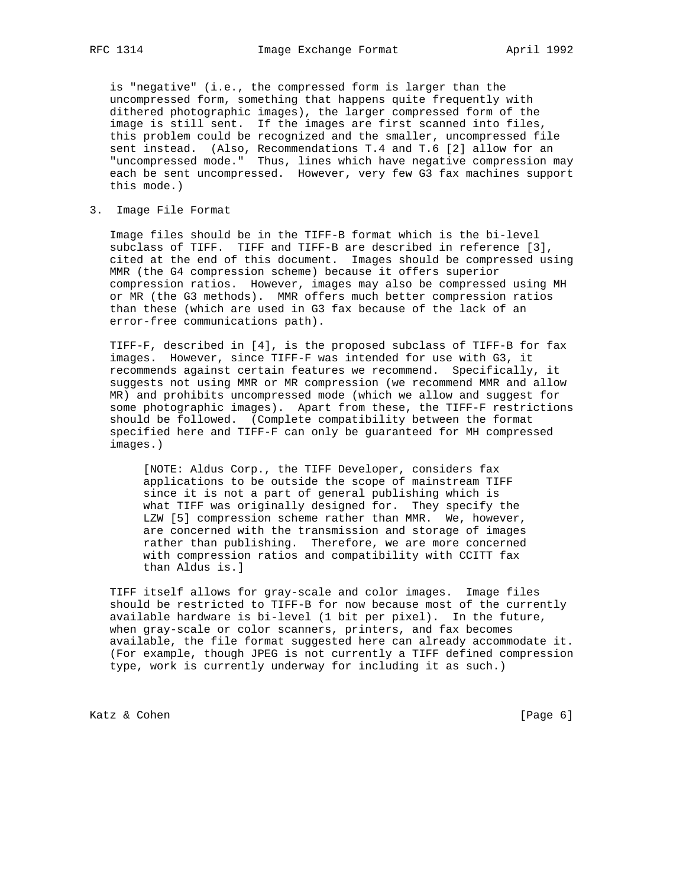is "negative" (i.e., the compressed form is larger than the uncompressed form, something that happens quite frequently with dithered photographic images), the larger compressed form of the image is still sent. If the images are first scanned into files, this problem could be recognized and the smaller, uncompressed file sent instead. (Also, Recommendations T.4 and T.6 [2] allow for an "uncompressed mode." Thus, lines which have negative compression may each be sent uncompressed. However, very few G3 fax machines support this mode.)

3. Image File Format

 Image files should be in the TIFF-B format which is the bi-level subclass of TIFF. TIFF and TIFF-B are described in reference [3], cited at the end of this document. Images should be compressed using MMR (the G4 compression scheme) because it offers superior compression ratios. However, images may also be compressed using MH or MR (the G3 methods). MMR offers much better compression ratios than these (which are used in G3 fax because of the lack of an error-free communications path).

 TIFF-F, described in [4], is the proposed subclass of TIFF-B for fax images. However, since TIFF-F was intended for use with G3, it recommends against certain features we recommend. Specifically, it suggests not using MMR or MR compression (we recommend MMR and allow MR) and prohibits uncompressed mode (which we allow and suggest for some photographic images). Apart from these, the TIFF-F restrictions should be followed. (Complete compatibility between the format specified here and TIFF-F can only be guaranteed for MH compressed images.)

 [NOTE: Aldus Corp., the TIFF Developer, considers fax applications to be outside the scope of mainstream TIFF since it is not a part of general publishing which is what TIFF was originally designed for. They specify the LZW [5] compression scheme rather than MMR. We, however, are concerned with the transmission and storage of images rather than publishing. Therefore, we are more concerned with compression ratios and compatibility with CCITT fax than Aldus is.]

 TIFF itself allows for gray-scale and color images. Image files should be restricted to TIFF-B for now because most of the currently available hardware is bi-level (1 bit per pixel). In the future, when gray-scale or color scanners, printers, and fax becomes available, the file format suggested here can already accommodate it. (For example, though JPEG is not currently a TIFF defined compression type, work is currently underway for including it as such.)

Katz & Cohen [Page 6]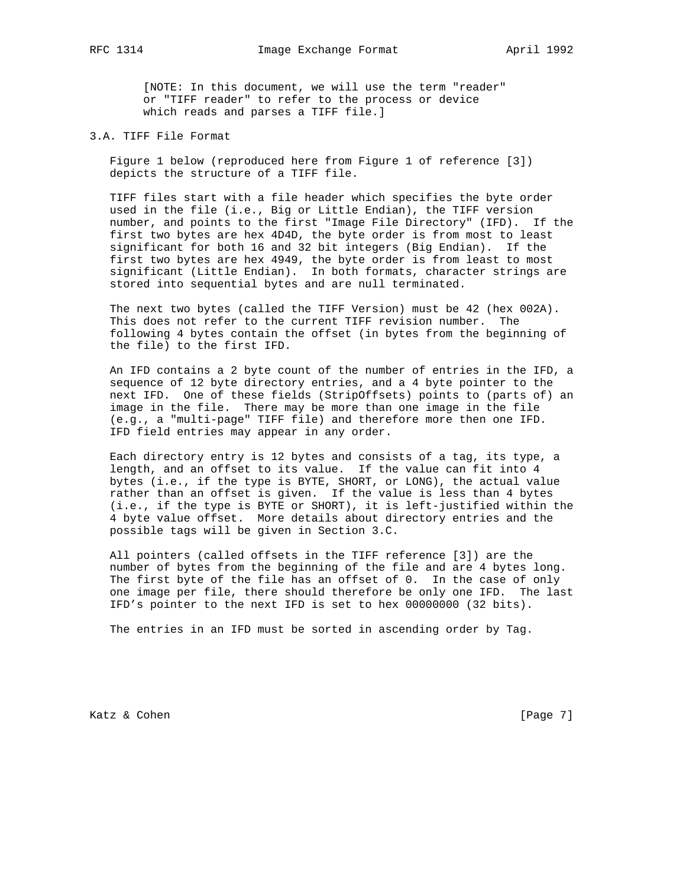[NOTE: In this document, we will use the term "reader" or "TIFF reader" to refer to the process or device which reads and parses a TIFF file.]

3.A. TIFF File Format

 Figure 1 below (reproduced here from Figure 1 of reference [3]) depicts the structure of a TIFF file.

 TIFF files start with a file header which specifies the byte order used in the file (i.e., Big or Little Endian), the TIFF version number, and points to the first "Image File Directory" (IFD). If the first two bytes are hex 4D4D, the byte order is from most to least significant for both 16 and 32 bit integers (Big Endian). If the first two bytes are hex 4949, the byte order is from least to most significant (Little Endian). In both formats, character strings are stored into sequential bytes and are null terminated.

 The next two bytes (called the TIFF Version) must be 42 (hex 002A). This does not refer to the current TIFF revision number. The following 4 bytes contain the offset (in bytes from the beginning of the file) to the first IFD.

 An IFD contains a 2 byte count of the number of entries in the IFD, a sequence of 12 byte directory entries, and a 4 byte pointer to the next IFD. One of these fields (StripOffsets) points to (parts of) an image in the file. There may be more than one image in the file (e.g., a "multi-page" TIFF file) and therefore more then one IFD. IFD field entries may appear in any order.

 Each directory entry is 12 bytes and consists of a tag, its type, a length, and an offset to its value. If the value can fit into 4 bytes (i.e., if the type is BYTE, SHORT, or LONG), the actual value rather than an offset is given. If the value is less than 4 bytes (i.e., if the type is BYTE or SHORT), it is left-justified within the 4 byte value offset. More details about directory entries and the possible tags will be given in Section 3.C.

 All pointers (called offsets in the TIFF reference [3]) are the number of bytes from the beginning of the file and are 4 bytes long. The first byte of the file has an offset of 0. In the case of only one image per file, there should therefore be only one IFD. The last IFD's pointer to the next IFD is set to hex 00000000 (32 bits).

The entries in an IFD must be sorted in ascending order by Tag.

Katz & Cohen [Page 7]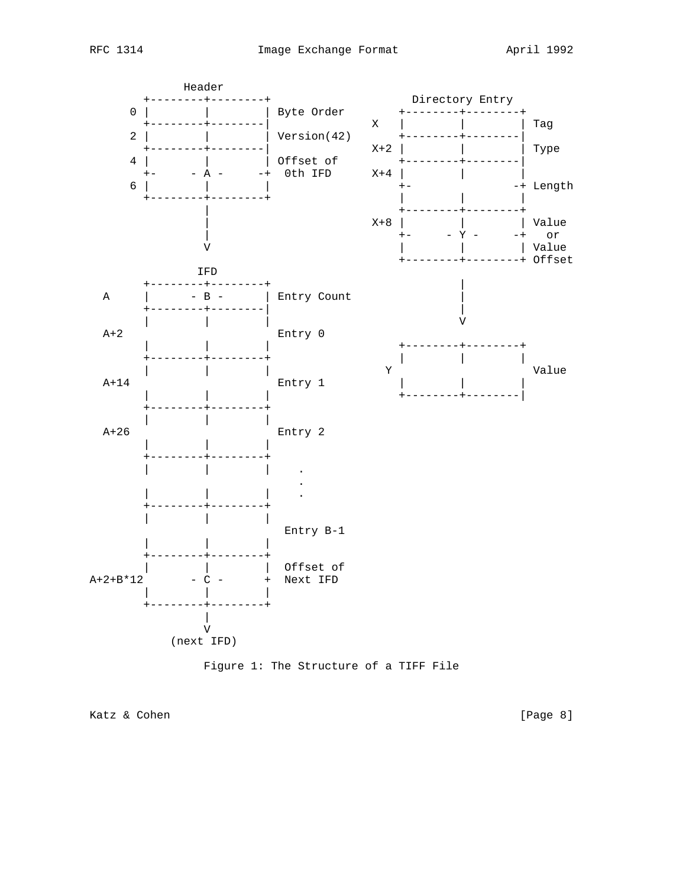



Katz & Cohen [Page 8]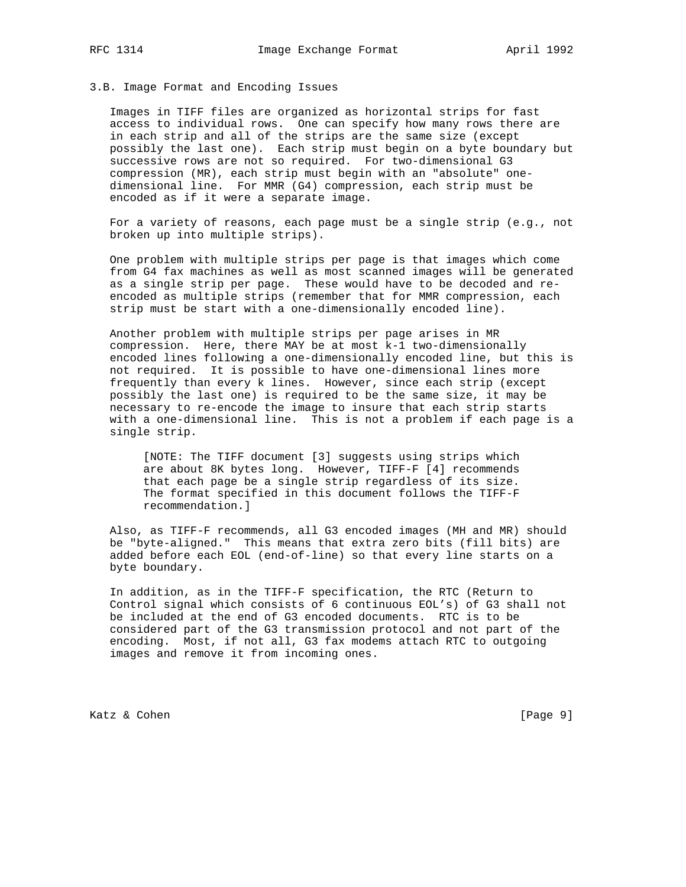#### 3.B. Image Format and Encoding Issues

 Images in TIFF files are organized as horizontal strips for fast access to individual rows. One can specify how many rows there are in each strip and all of the strips are the same size (except possibly the last one). Each strip must begin on a byte boundary but successive rows are not so required. For two-dimensional G3 compression (MR), each strip must begin with an "absolute" one dimensional line. For MMR (G4) compression, each strip must be encoded as if it were a separate image.

 For a variety of reasons, each page must be a single strip (e.g., not broken up into multiple strips).

 One problem with multiple strips per page is that images which come from G4 fax machines as well as most scanned images will be generated as a single strip per page. These would have to be decoded and re encoded as multiple strips (remember that for MMR compression, each strip must be start with a one-dimensionally encoded line).

 Another problem with multiple strips per page arises in MR compression. Here, there MAY be at most k-1 two-dimensionally encoded lines following a one-dimensionally encoded line, but this is not required. It is possible to have one-dimensional lines more frequently than every k lines. However, since each strip (except possibly the last one) is required to be the same size, it may be necessary to re-encode the image to insure that each strip starts with a one-dimensional line. This is not a problem if each page is a single strip.

 [NOTE: The TIFF document [3] suggests using strips which are about 8K bytes long. However, TIFF-F [4] recommends that each page be a single strip regardless of its size. The format specified in this document follows the TIFF-F recommendation.]

 Also, as TIFF-F recommends, all G3 encoded images (MH and MR) should be "byte-aligned." This means that extra zero bits (fill bits) are added before each EOL (end-of-line) so that every line starts on a byte boundary.

 In addition, as in the TIFF-F specification, the RTC (Return to Control signal which consists of 6 continuous EOL's) of G3 shall not be included at the end of G3 encoded documents. RTC is to be considered part of the G3 transmission protocol and not part of the encoding. Most, if not all, G3 fax modems attach RTC to outgoing images and remove it from incoming ones.

Katz & Cohen [Page 9]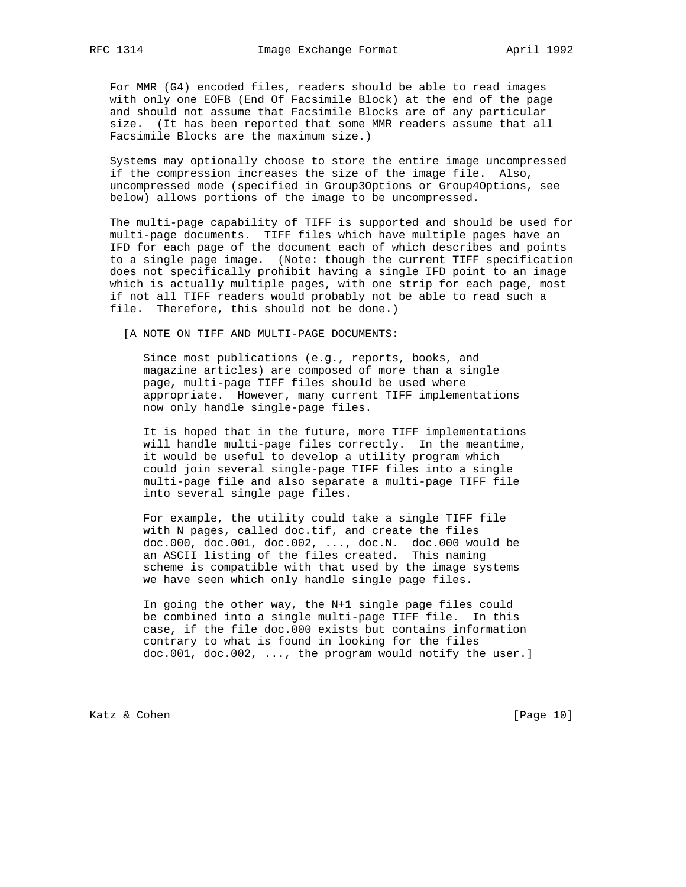For MMR (G4) encoded files, readers should be able to read images with only one EOFB (End Of Facsimile Block) at the end of the page and should not assume that Facsimile Blocks are of any particular size. (It has been reported that some MMR readers assume that all Facsimile Blocks are the maximum size.)

 Systems may optionally choose to store the entire image uncompressed if the compression increases the size of the image file. Also, uncompressed mode (specified in Group3Options or Group4Options, see below) allows portions of the image to be uncompressed.

 The multi-page capability of TIFF is supported and should be used for multi-page documents. TIFF files which have multiple pages have an IFD for each page of the document each of which describes and points to a single page image. (Note: though the current TIFF specification does not specifically prohibit having a single IFD point to an image which is actually multiple pages, with one strip for each page, most if not all TIFF readers would probably not be able to read such a file. Therefore, this should not be done.)

[A NOTE ON TIFF AND MULTI-PAGE DOCUMENTS:

 Since most publications (e.g., reports, books, and magazine articles) are composed of more than a single page, multi-page TIFF files should be used where appropriate. However, many current TIFF implementations now only handle single-page files.

 It is hoped that in the future, more TIFF implementations will handle multi-page files correctly. In the meantime, it would be useful to develop a utility program which could join several single-page TIFF files into a single multi-page file and also separate a multi-page TIFF file into several single page files.

 For example, the utility could take a single TIFF file with N pages, called doc.tif, and create the files doc.000, doc.001, doc.002, ..., doc.N. doc.000 would be an ASCII listing of the files created. This naming scheme is compatible with that used by the image systems we have seen which only handle single page files.

> In going the other way, the N+1 single page files could be combined into a single multi-page TIFF file. In this case, if the file doc.000 exists but contains information contrary to what is found in looking for the files doc.001, doc.002, ..., the program would notify the user.]

Katz & Cohen [Page 10]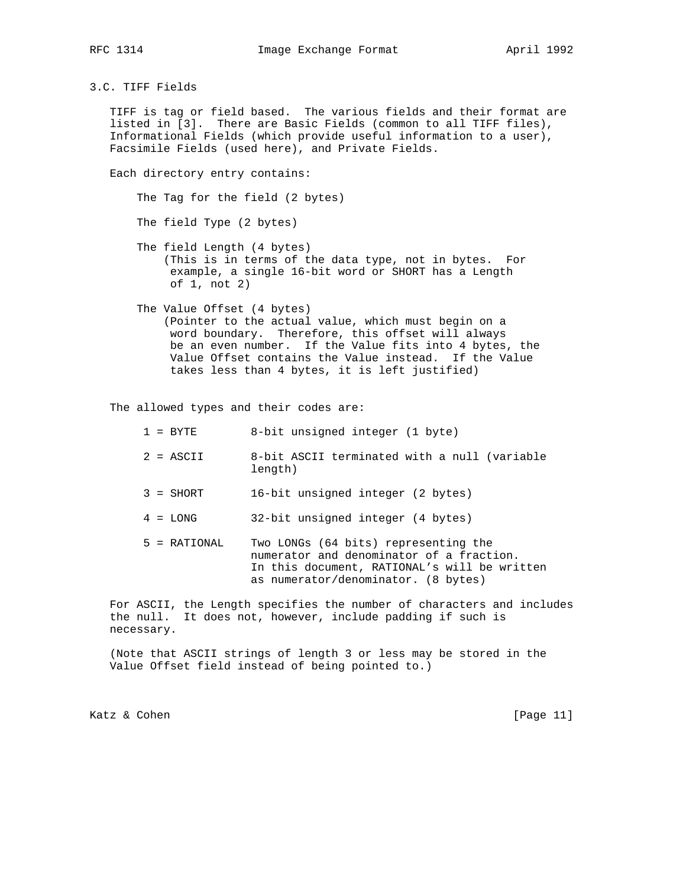3.C. TIFF Fields

 TIFF is tag or field based. The various fields and their format are listed in [3]. There are Basic Fields (common to all TIFF files), Informational Fields (which provide useful information to a user), Facsimile Fields (used here), and Private Fields.

Each directory entry contains:

The Tag for the field (2 bytes)

The field Type (2 bytes)

- The field Length (4 bytes) (This is in terms of the data type, not in bytes. For example, a single 16-bit word or SHORT has a Length of 1, not 2)
- The Value Offset (4 bytes) (Pointer to the actual value, which must begin on a word boundary. Therefore, this offset will always be an even number. If the Value fits into 4 bytes, the Value Offset contains the Value instead. If the Value takes less than 4 bytes, it is left justified)

The allowed types and their codes are:

| $1 = RYTR$     | 8-bit unsigned integer (1 byte)                                                                                                                                         |
|----------------|-------------------------------------------------------------------------------------------------------------------------------------------------------------------------|
| $2 = ASCII$    | 8-bit ASCII terminated with a null (variable<br>length)                                                                                                                 |
| $3 = SHORT$    | 16-bit unsigned integer (2 bytes)                                                                                                                                       |
| $4 = LONG$     | 32-bit unsigned integer (4 bytes)                                                                                                                                       |
| $5 = RATIONAL$ | Two LONGs (64 bits) representing the<br>numerator and denominator of a fraction.<br>In this document, RATIONAL's will be written<br>as numerator/denominator. (8 bytes) |

 For ASCII, the Length specifies the number of characters and includes the null. It does not, however, include padding if such is necessary.

 (Note that ASCII strings of length 3 or less may be stored in the Value Offset field instead of being pointed to.)

Katz & Cohen [Page 11]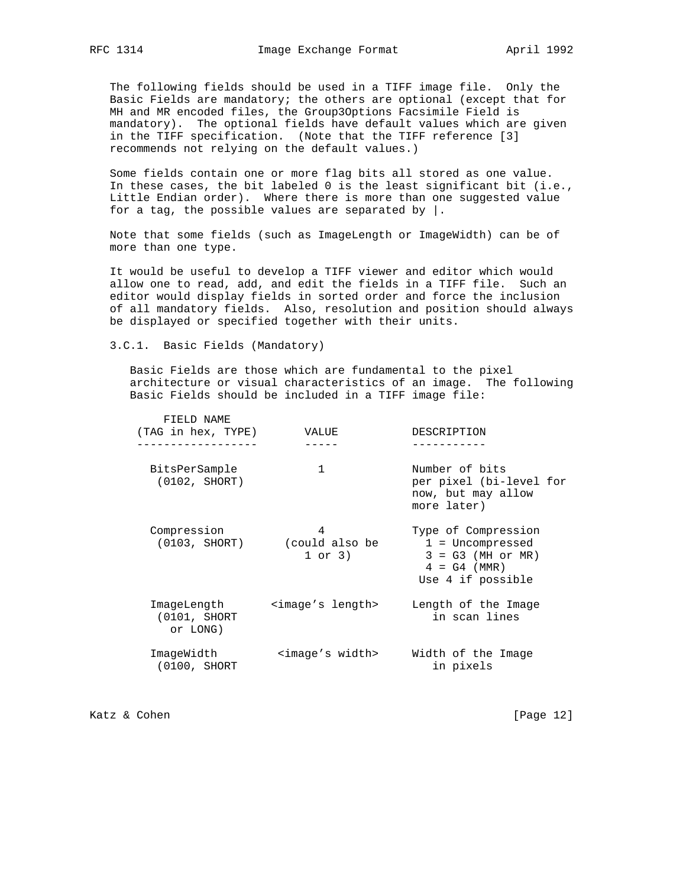The following fields should be used in a TIFF image file. Only the Basic Fields are mandatory; the others are optional (except that for MH and MR encoded files, the Group3Options Facsimile Field is mandatory). The optional fields have default values which are given in the TIFF specification. (Note that the TIFF reference [3] recommends not relying on the default values.)

 Some fields contain one or more flag bits all stored as one value. In these cases, the bit labeled 0 is the least significant bit (i.e., Little Endian order). Where there is more than one suggested value for a tag, the possible values are separated by  $\vert$ .

Note that some fields (such as ImageLength or ImageWidth) can be of more than one type.

 It would be useful to develop a TIFF viewer and editor which would allow one to read, add, and edit the fields in a TIFF file. Such an editor would display fields in sorted order and force the inclusion of all mandatory fields. Also, resolution and position should always be displayed or specified together with their units.

3.C.1. Basic Fields (Mandatory)

 Basic Fields are those which are fundamental to the pixel architecture or visual characteristics of an image. The following Basic Fields should be included in a TIFF image file:

| FIELD NAME<br>(TAG in hex, TYPE)         | VALUE                                        | DESCRIPTION                                                                                             |
|------------------------------------------|----------------------------------------------|---------------------------------------------------------------------------------------------------------|
| BitsPerSample<br>(0102, SHORT)           | $\mathbf{1}$                                 | Number of bits<br>per pixel (bi-level for<br>now, but may allow<br>more later)                          |
| Compression                              | 4<br>(0103, SHORT) (could also be<br>1 or 3) | Type of Compression<br>$1 = Uncompressed$<br>$3 = G3$ (MH or MR)<br>$4 = G4$ (MMR)<br>Use 4 if possible |
| ImageLength<br>(0101, SHORT)<br>or LONG) | <image's length=""></image's>                | Length of the Image<br>in scan lines                                                                    |
| ImageWidth<br>(0100, SHORT)              | <image's width=""></image's>                 | Width of the Image<br>in pixels                                                                         |

Katz & Cohen [Page 12]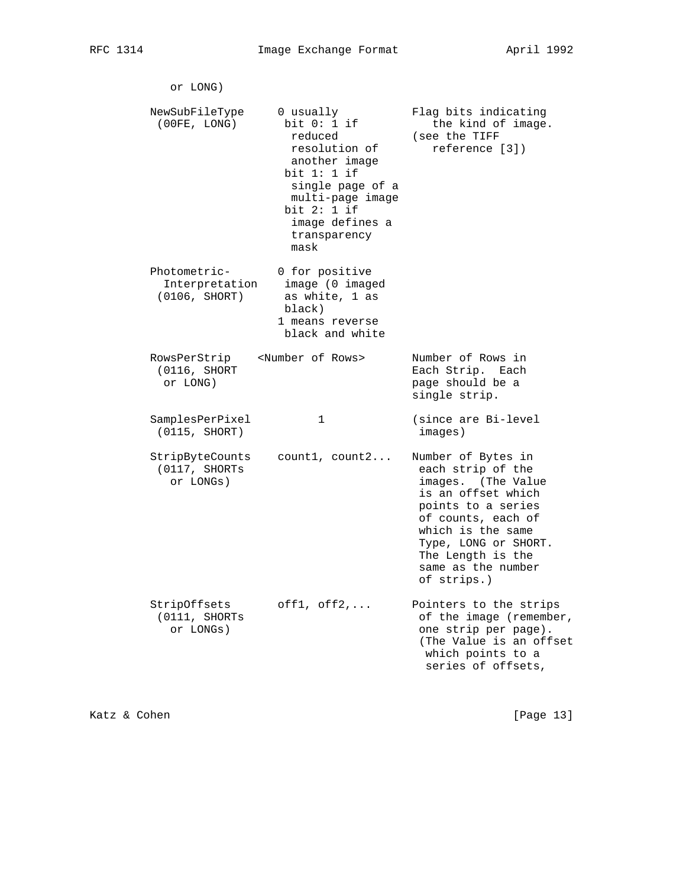| or LONG)                                        |                                                                                                                                                                                            |                                                                                                                                                                                                                                        |
|-------------------------------------------------|--------------------------------------------------------------------------------------------------------------------------------------------------------------------------------------------|----------------------------------------------------------------------------------------------------------------------------------------------------------------------------------------------------------------------------------------|
| NewSubFileType<br>(00FE, LONG)                  | 0 usually<br>bit $0: 1$ if<br>reduced<br>resolution of<br>another image<br>bit $1:1$ if<br>single page of a<br>multi-page image<br>bit $2:1$ if<br>image defines a<br>transparency<br>mask | Flag bits indicating<br>the kind of image.<br>(see the TIFF<br>reference [3])                                                                                                                                                          |
| Photometric-<br>Interpretation<br>(0106, SHORT) | 0 for positive<br>image (0 imaged<br>as white, 1 as<br>black)<br>1 means reverse<br>black and white                                                                                        |                                                                                                                                                                                                                                        |
| RowsPerStrip<br>(0116, SHORT)<br>or LONG)       | <number of="" rows=""></number>                                                                                                                                                            | Number of Rows in<br>Each Strip. Each<br>page should be a<br>single strip.                                                                                                                                                             |
| SamplesPerPixel<br>(0115, SHORT)                | 1                                                                                                                                                                                          | (since are Bi-level<br>images)                                                                                                                                                                                                         |
| StripByteCounts<br>(0117, SHORTs<br>or LONGs)   | count1, count2                                                                                                                                                                             | Number of Bytes in<br>each strip of the<br>images. (The Value<br>is an offset which<br>points to a series<br>of counts, each of<br>which is the same<br>Type, LONG or SHORT.<br>The Length is the<br>same as the number<br>of strips.) |
| StripOffsets<br>(0111, SHORTs<br>or LONGs)      | $off1, off2, \ldots$                                                                                                                                                                       | Pointers to the strips<br>of the image (remember,<br>one strip per page).<br>(The Value is an offset<br>which points to a<br>series of offsets,                                                                                        |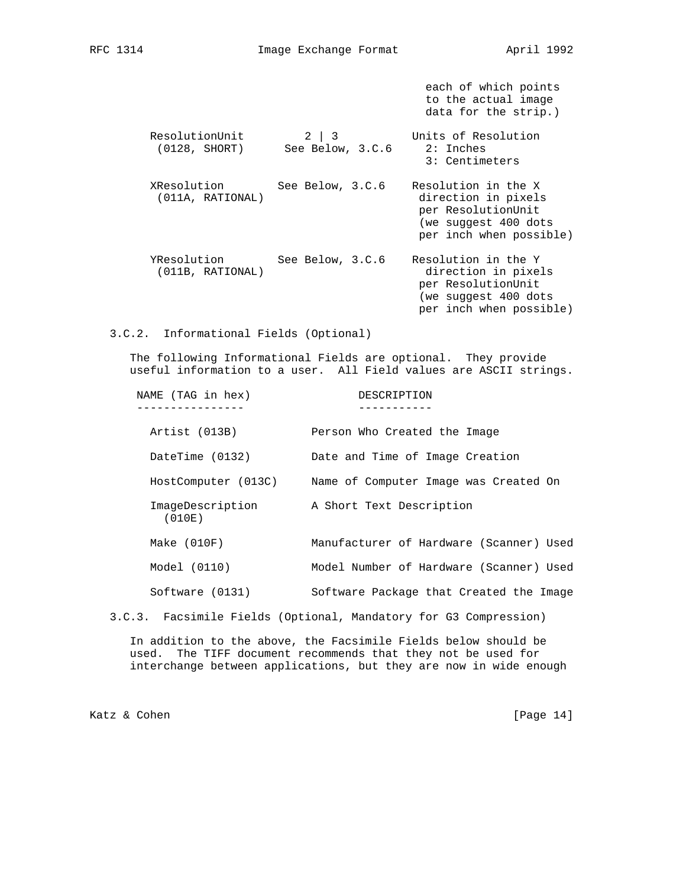each of which points

|                                 |                                | to the actual image<br>data for the strip.)                                                                         |
|---------------------------------|--------------------------------|---------------------------------------------------------------------------------------------------------------------|
| ResolutionUnit<br>(0128, SHORT) | $2 \mid 3$<br>See Below, 3.C.6 | Units of Resolution<br>$2:$ Inches<br>3: Centimeters                                                                |
| XResolution<br>(011A, RATIONAL) | See Below, 3.C.6               | Resolution in the X<br>direction in pixels<br>per ResolutionUnit<br>(we suggest 400 dots<br>per inch when possible) |
| YResolution<br>(011B, RATIONAL) | See Below, 3.C.6               | Resolution in the Y<br>direction in pixels<br>per ResolutionUnit<br>(we suggest 400 dots<br>per inch when possible) |

3.C.2. Informational Fields (Optional)

 The following Informational Fields are optional. They provide useful information to a user. All Field values are ASCII strings.

| NAME (TAG in hex)          | DESCRIPTION                             |
|----------------------------|-----------------------------------------|
| Artist (013B)              | Person Who Created the Image            |
| DateTime (0132)            | Date and Time of Image Creation         |
| HostComputer (013C)        | Name of Computer Image was Created On   |
| ImageDescription<br>(010E) | A Short Text Description                |
| Make (010F)                | Manufacturer of Hardware (Scanner) Used |
| Model (0110)               | Model Number of Hardware (Scanner) Used |
| Software (0131)            | Software Package that Created the Image |

3.C.3. Facsimile Fields (Optional, Mandatory for G3 Compression)

 In addition to the above, the Facsimile Fields below should be used. The TIFF document recommends that they not be used for interchange between applications, but they are now in wide enough

Katz & Cohen [Page 14]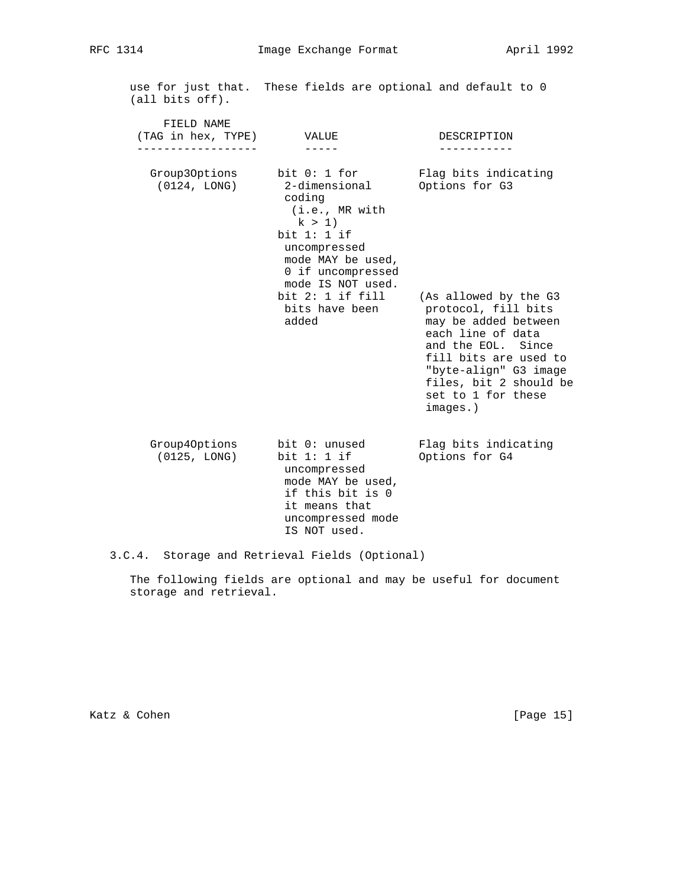| (all bits off).                                                             |                                                                                                                                                  | use for just that. These fields are optional and default to 0                                                                                                                                                                 |
|-----------------------------------------------------------------------------|--------------------------------------------------------------------------------------------------------------------------------------------------|-------------------------------------------------------------------------------------------------------------------------------------------------------------------------------------------------------------------------------|
| FIELD NAME<br>(TAG in hex, TYPE) VALUE<br>. _ _ _ _ _ _ _ _ _ _ _ _ _ _ _ _ |                                                                                                                                                  | DESCRIPTION                                                                                                                                                                                                                   |
| Group30ptions<br>(0124, LONG)                                               | bit 0: 1 for<br>coding<br>(i.e., MR with<br>k > 1<br>bit $1:1$ if<br>uncompressed<br>mode MAY be used,<br>0 if uncompressed<br>mode IS NOT used. | Flag bits indicating<br>2-dimensional Options for G3                                                                                                                                                                          |
|                                                                             | bit $2: 1$ if fill<br>bits have been<br>added                                                                                                    | (As allowed by the G3<br>protocol, fill bits<br>may be added between<br>each line of data<br>and the EOL. Since<br>fill bits are used to<br>"byte-align" G3 image<br>files, bit 2 should be<br>set to 1 for these<br>images.) |
| Group40ptions<br>(0125, LONG)                                               | bit 0: unused<br>bit $1: 1$ if<br>uncompressed<br>mode MAY be used,<br>if this bit is 0<br>it means that<br>uncompressed mode<br>IS NOT used.    | Flag bits indicating<br>Options for G4                                                                                                                                                                                        |

3.C.4. Storage and Retrieval Fields (Optional)

 The following fields are optional and may be useful for document storage and retrieval.

Katz & Cohen [Page 15]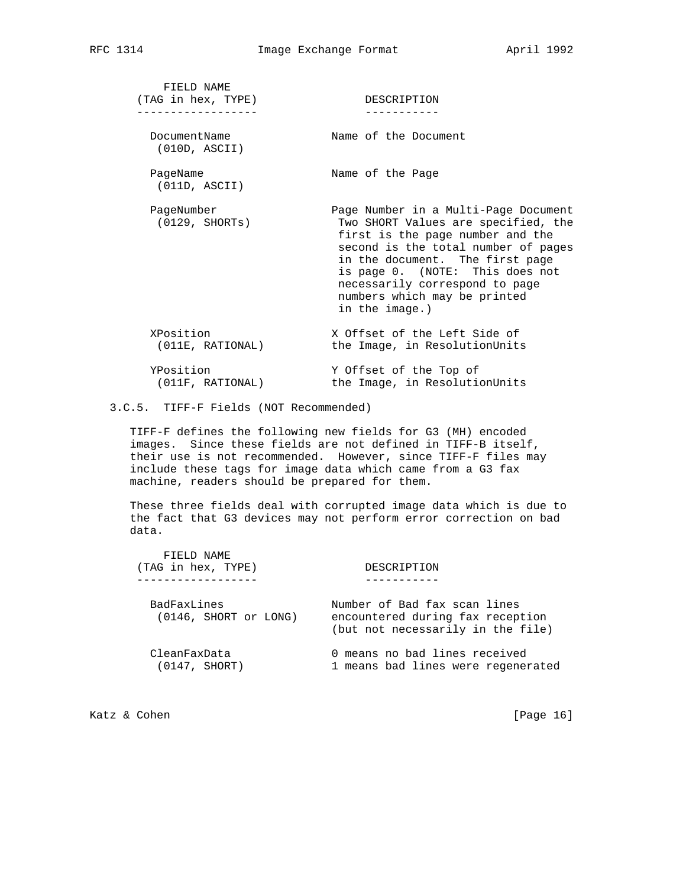| FIELD NAME<br>(TAG in hex, TYPE) | DESCRIPTION                                                                                                                                                                                                                                                                                                      |
|----------------------------------|------------------------------------------------------------------------------------------------------------------------------------------------------------------------------------------------------------------------------------------------------------------------------------------------------------------|
| DocumentName<br>(010D, ASCII)    | Name of the Document                                                                                                                                                                                                                                                                                             |
| PageName<br>(011D, ASCII)        | Name of the Page                                                                                                                                                                                                                                                                                                 |
| PageNumber<br>(0129, SHORTs)     | Page Number in a Multi-Page Document<br>Two SHORT Values are specified, the<br>first is the page number and the<br>second is the total number of pages<br>in the document. The first page<br>is page 0. (NOTE: This does not<br>necessarily correspond to page<br>numbers which may be printed<br>in the image.) |
| XPosition<br>(011E, RATIONAL)    | X Offset of the Left Side of<br>the Image, in ResolutionUnits                                                                                                                                                                                                                                                    |
| YPosition<br>(011F, RATIONAL)    | Y Offset of the Top of<br>the Image, in ResolutionUnits                                                                                                                                                                                                                                                          |

## 3.C.5. TIFF-F Fields (NOT Recommended)

 TIFF-F defines the following new fields for G3 (MH) encoded images. Since these fields are not defined in TIFF-B itself, their use is not recommended. However, since TIFF-F files may include these tags for image data which came from a G3 fax machine, readers should be prepared for them.

 These three fields deal with corrupted image data which is due to the fact that G3 devices may not perform error correction on bad data.

| FIELD NAME<br>(TAG in hex, TYPE)     | DESCRIPTION                                                                                           |
|--------------------------------------|-------------------------------------------------------------------------------------------------------|
| BadFaxLines<br>(0146, SHORT or LONG) | Number of Bad fax scan lines<br>encountered during fax reception<br>(but not necessarily in the file) |
| CleanFaxData<br>(0147, SHORT)        | 0 means no bad lines received<br>1 means bad lines were regenerated                                   |

Katz & Cohen [Page 16]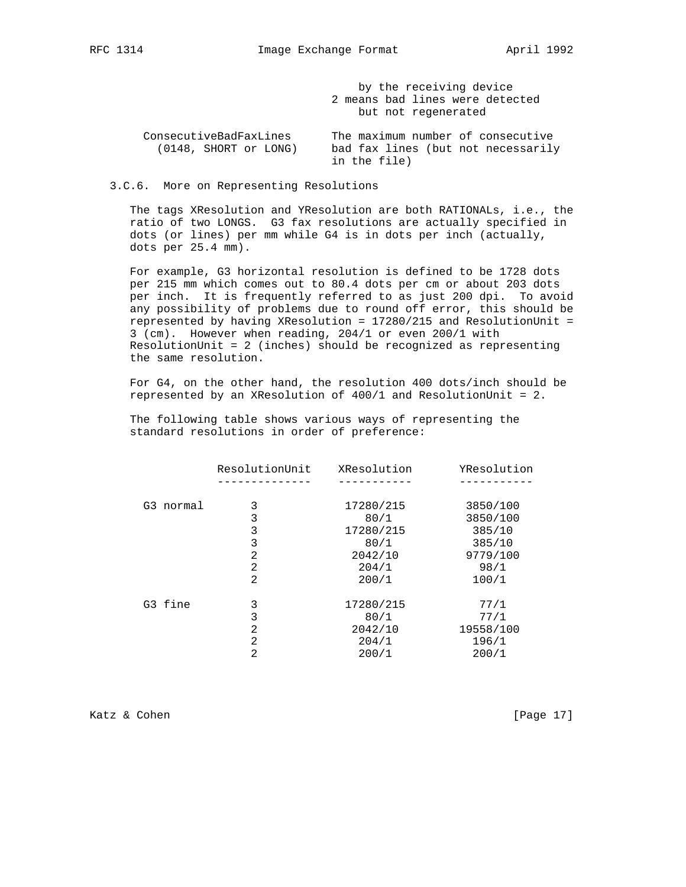by the receiving device 2 means bad lines were detected but not regenerated

 ConsecutiveBadFaxLines The maximum number of consecutive (0148, SHORT or LONG) bad fax lines (but not necessarily in the file)

3.C.6. More on Representing Resolutions

 The tags XResolution and YResolution are both RATIONALs, i.e., the ratio of two LONGS. G3 fax resolutions are actually specified in dots (or lines) per mm while G4 is in dots per inch (actually, dots per 25.4 mm).

 For example, G3 horizontal resolution is defined to be 1728 dots per 215 mm which comes out to 80.4 dots per cm or about 203 dots per inch. It is frequently referred to as just 200 dpi. To avoid any possibility of problems due to round off error, this should be represented by having XResolution = 17280/215 and ResolutionUnit = 3 (cm). However when reading, 204/1 or even 200/1 with ResolutionUnit = 2 (inches) should be recognized as representing the same resolution.

 For G4, on the other hand, the resolution 400 dots/inch should be represented by an XResolution of 400/1 and ResolutionUnit = 2.

 The following table shows various ways of representing the standard resolutions in order of preference:

|           | ResolutionUnit | XResolution | YResolution |
|-----------|----------------|-------------|-------------|
|           |                |             |             |
| G3 normal | 3              | 17280/215   | 3850/100    |
|           | 3              | 80/1        | 3850/100    |
|           | 3              | 17280/215   | 385/10      |
|           | 3              | 80/1        | 385/10      |
|           | 2              | 2042/10     | 9779/100    |
|           | $\overline{2}$ | 204/1       | 98/1        |
|           | 2              | 200/1       | 100/1       |
| G3 fine   | 3              | 17280/215   | 77/1        |
|           | 3              | 80/1        | 77/1        |
|           | 2              | 2042/10     | 19558/100   |
|           | 2              | 204/1       | 196/1       |
|           | 2              | 200/1       | 200/1       |
|           |                |             |             |

Katz & Cohen [Page 17]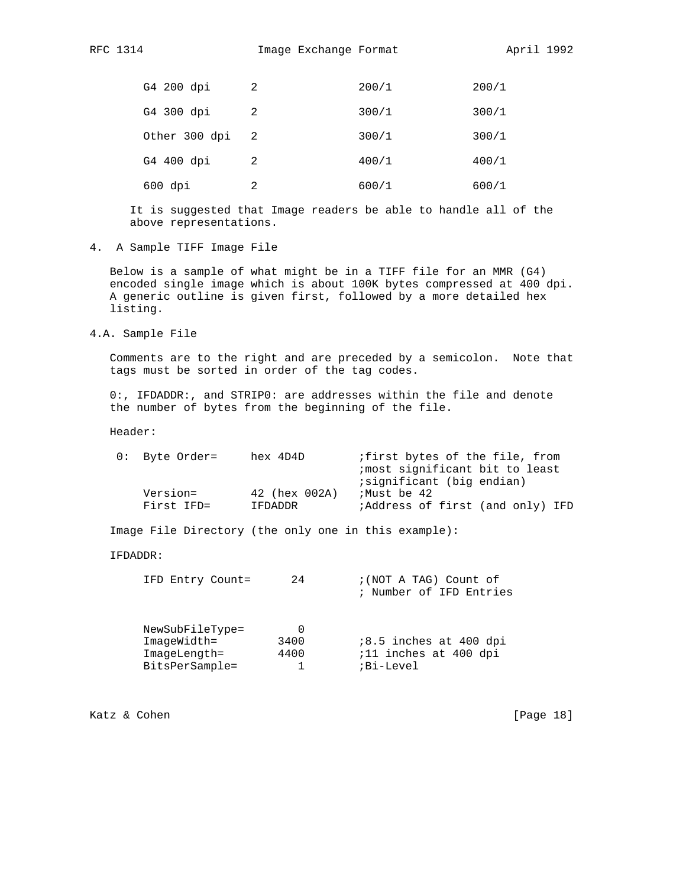| G4 200 dpi    | 2  | 200/1 | 200/1 |
|---------------|----|-------|-------|
| G4 300 dpi    | 2  | 300/1 | 300/1 |
| Other 300 dpi | -2 | 300/1 | 300/1 |
| G4 400 dpi    | 2  | 400/1 | 400/1 |
| $600$ dpi     | 2  | 600/1 | 600/1 |

 It is suggested that Image readers be able to handle all of the above representations.

4. A Sample TIFF Image File

 Below is a sample of what might be in a TIFF file for an MMR (G4) encoded single image which is about 100K bytes compressed at 400 dpi. A generic outline is given first, followed by a more detailed hex listing.

4.A. Sample File

 Comments are to the right and are preceded by a semicolon. Note that tags must be sorted in order of the tag codes.

 0:, IFDADDR:, and STRIP0: are addresses within the file and denote the number of bytes from the beginning of the file.

Header:

| $0:$ Byte Order= | hex 4D4D      | ifirst bytes of the file, from<br>imost significant bit to least<br>; significant (big endian) |
|------------------|---------------|------------------------------------------------------------------------------------------------|
| Version=         | 42 (hex 002A) | Must be 42;                                                                                    |
| First IFD=       | IFDADDR       | <i>i</i> Address of first (and only) IFD                                                       |

Image File Directory (the only one in this example):

### IFDADDR:

|  | IFD Entry Count= |  | ; (NOT A TAG) Count of  |  |  |  |
|--|------------------|--|-------------------------|--|--|--|
|  |                  |  | ; Number of IFD Entries |  |  |  |

| NewSubFileType= |      |                          |
|-----------------|------|--------------------------|
| ImageWidth=     | 3400 | $18.5$ inches at 400 dpi |
| ImageLength=    | 4400 | ;11 inches at 400 dpi    |
| BitsPerSample=  |      | ;Bi-Level                |
|                 |      |                          |

Katz & Cohen [Page 18]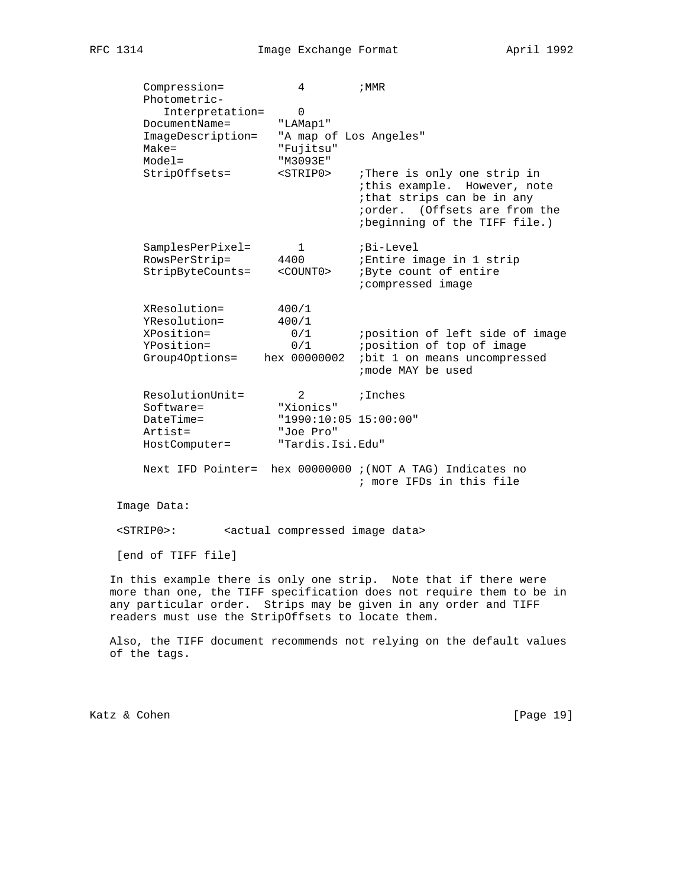| Compression=                                                                                   | 4                                                                          | ; MMR                                                                                                                                                       |
|------------------------------------------------------------------------------------------------|----------------------------------------------------------------------------|-------------------------------------------------------------------------------------------------------------------------------------------------------------|
| Photometric-<br>Interpretation=<br>DocumentName=<br>ImageDescription=<br>$Make =$<br>$Model =$ | $\mathbf 0$<br>"LAMap1"<br>"A map of Los Angeles"<br>"Fujitsu"<br>"M3093E" |                                                                                                                                                             |
| StripOffsets=                                                                                  | $<$ STRIP $0$ >                                                            | :There is only one strip in<br>ithis example. However, note<br>ithat strips can be in any<br>iorder. (Offsets are from the<br>ibeginning of the TIFF file.) |
| SamplesPerPixel=                                                                               | 1                                                                          | ;Bi-Level                                                                                                                                                   |
| RowsPerStrip=<br>StripByteCounts=                                                              | 4400<br>$<$ COUNT $0$ >                                                    | ;Entire image in 1 strip<br>; Byte count of entire<br>; compressed image                                                                                    |
| XResolution=                                                                                   | 400/1                                                                      |                                                                                                                                                             |
| YResolution=<br>XPosition=                                                                     | 400/1<br>0/1                                                               | ; position of left side of image                                                                                                                            |
| YPosition=                                                                                     | 0/1                                                                        | ;position of top of image                                                                                                                                   |
| Group40ptions=                                                                                 | hex 00000002                                                               | ibit 1 on means uncompressed<br>imode MAY be used                                                                                                           |
| ResolutionUnit=<br>Software=                                                                   | 2<br>"Xionics"                                                             | ; Inches                                                                                                                                                    |
| DateTime=<br>Artist=                                                                           | "1990:10:05 15:00:00"<br>"Joe Pro"                                         |                                                                                                                                                             |
| HostComputer=                                                                                  | "Tardis.Isi.Edu"                                                           |                                                                                                                                                             |
| Next IFD Pointer=                                                                              |                                                                            | hex 00000000 ; (NOT A TAG) Indicates no<br>; more IFDs in this file                                                                                         |
| Image Data:                                                                                    |                                                                            |                                                                                                                                                             |
| $<$ STRIP $0$ >:                                                                               | <actual compressed="" data="" image=""></actual>                           |                                                                                                                                                             |

[end of TIFF file]

 In this example there is only one strip. Note that if there were more than one, the TIFF specification does not require them to be in any particular order. Strips may be given in any order and TIFF readers must use the StripOffsets to locate them.

 Also, the TIFF document recommends not relying on the default values of the tags.

Katz & Cohen [Page 19]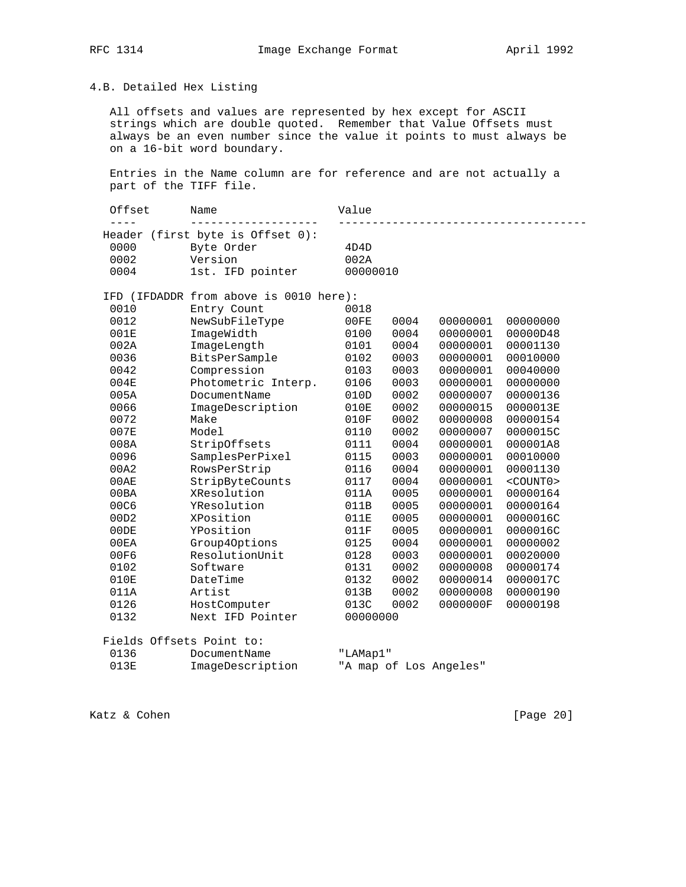# 4.B. Detailed Hex Listing

 All offsets and values are represented by hex except for ASCII strings which are double quoted. Remember that Value Offsets must always be an even number since the value it points to must always be on a 16-bit word boundary.

 Entries in the Name column are for reference and are not actually a part of the TIFF file.

| Offset    | Name                                   | Value    |      |                        |                 |
|-----------|----------------------------------------|----------|------|------------------------|-----------------|
| $- - - -$ | Header (first byte is Offset 0):       |          |      |                        |                 |
| 0000      | Byte Order                             | 4D4D     |      |                        |                 |
| 0002      | Version                                | 002A     |      |                        |                 |
| 0004      | 1st. IFD pointer                       | 00000010 |      |                        |                 |
|           | IFD (IFDADDR from above is 0010 here): |          |      |                        |                 |
| 0010      | Entry Count                            | 0018     |      |                        |                 |
| 0012      | NewSubFileType                         | 00FE     | 0004 | 00000001               | 00000000        |
| 001E      | ImageWidth                             | 0100     | 0004 | 00000001               | 00000D48        |
| 002A      | ImageLength                            | 0101     | 0004 | 00000001               | 00001130        |
| 0036      | BitsPerSample                          | 0102     | 0003 | 00000001               | 00010000        |
| 0042      | Compression                            | 0103     | 0003 | 00000001               | 00040000        |
| 004E      | Photometric Interp.                    | 0106     | 0003 | 00000001               | 00000000        |
| 005A      | DocumentName                           | 010D     | 0002 | 00000007               | 00000136        |
| 0066      | ImageDescription                       | 010E     | 0002 | 00000015               | 0000013E        |
| 0072      | Make                                   | 010F     | 0002 | 00000008               | 00000154        |
| 007E      | Model                                  | 0110     | 0002 | 00000007               | 0000015C        |
| 008A      | StripOffsets                           | 0111     | 0004 | 00000001               | 000001A8        |
| 0096      | SamplesPerPixel                        | 0115     | 0003 | 00000001               | 00010000        |
| 00A2      | RowsPerStrip                           | 0116     | 0004 | 00000001               | 00001130        |
| 00AE      | StripByteCounts                        | 0117     | 0004 | 00000001               | $<$ COUNT $0$ > |
| 00BA      | XResolution                            | 011A     | 0005 | 00000001               | 00000164        |
| 00C6      | YResolution                            | 011B     | 0005 | 00000001               | 00000164        |
| 00D2      | XPosition                              | 011E     | 0005 | 00000001               | 0000016C        |
| 00DE      | YPosition                              | 011F     | 0005 | 00000001               | 0000016C        |
| 00EA      | Group40ptions                          | 0125     | 0004 | 00000001               | 00000002        |
| 00F6      | ResolutionUnit                         | 0128     | 0003 | 00000001               | 00020000        |
| 0102      | Software                               | 0131     | 0002 | 00000008               | 00000174        |
| 010E      | DateTime                               | 0132     | 0002 | 00000014               | 0000017C        |
| 011A      | Artist                                 | 013B     | 0002 | 00000008               | 00000190        |
| 0126      | HostComputer                           | 013C     | 0002 | 0000000F               | 00000198        |
| 0132      | Next IFD Pointer                       | 00000000 |      |                        |                 |
|           | Fields Offsets Point to:               |          |      |                        |                 |
| 0136      | DocumentName                           | "LAMap1" |      |                        |                 |
| 013E      | ImageDescription                       |          |      | "A map of Los Angeles" |                 |

Katz & Cohen [Page 20]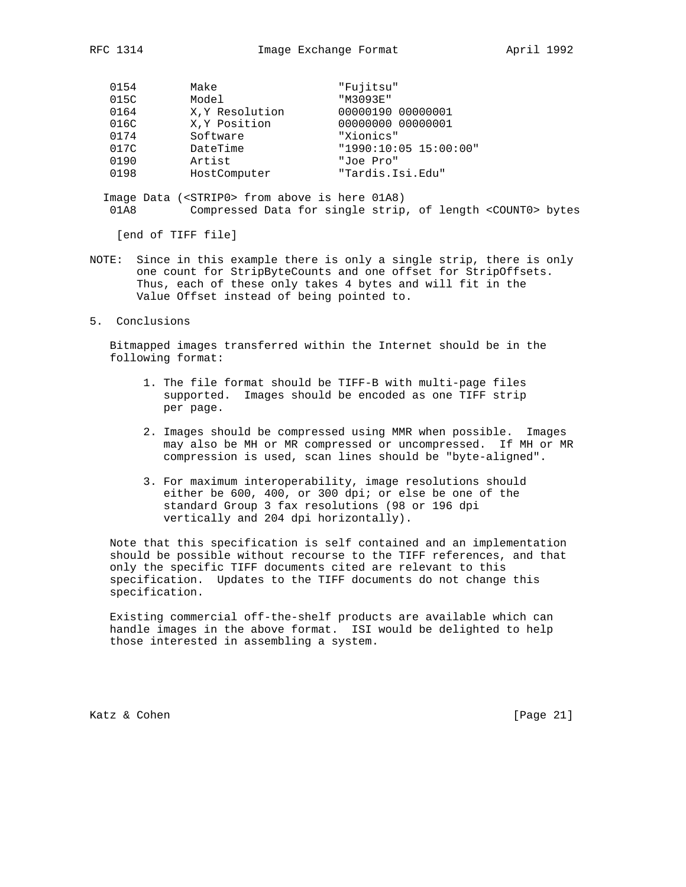| 0154 | Make           | "Fujitsu"             |
|------|----------------|-----------------------|
| 015C | Model          | "M3093E"              |
| 0164 | X.Y Resolution | 00000190 00000001     |
| 016C | X, Y Position  | 00000000 00000001     |
| 0174 | Software       | "Xionics"             |
| 017C | DateTime       | "1990:10:05 15:00:00" |
| 0190 | Artist         | "Joe Pro"             |
| 0198 | HostComputer   | "Tardis.Isi.Edu"      |

 Image Data (<STRIP0> from above is here 01A8) 01A8 Compressed Data for single strip, of length <COUNT0> bytes

[end of TIFF file]

- NOTE: Since in this example there is only a single strip, there is only one count for StripByteCounts and one offset for StripOffsets. Thus, each of these only takes 4 bytes and will fit in the Value Offset instead of being pointed to.
- 5. Conclusions

 Bitmapped images transferred within the Internet should be in the following format:

- 1. The file format should be TIFF-B with multi-page files supported. Images should be encoded as one TIFF strip per page.
- 2. Images should be compressed using MMR when possible. Images may also be MH or MR compressed or uncompressed. If MH or MR compression is used, scan lines should be "byte-aligned".
- 3. For maximum interoperability, image resolutions should either be 600, 400, or 300 dpi; or else be one of the standard Group 3 fax resolutions (98 or 196 dpi vertically and 204 dpi horizontally).

 Note that this specification is self contained and an implementation should be possible without recourse to the TIFF references, and that only the specific TIFF documents cited are relevant to this specification. Updates to the TIFF documents do not change this specification.

 Existing commercial off-the-shelf products are available which can handle images in the above format. ISI would be delighted to help those interested in assembling a system.

Katz & Cohen [Page 21]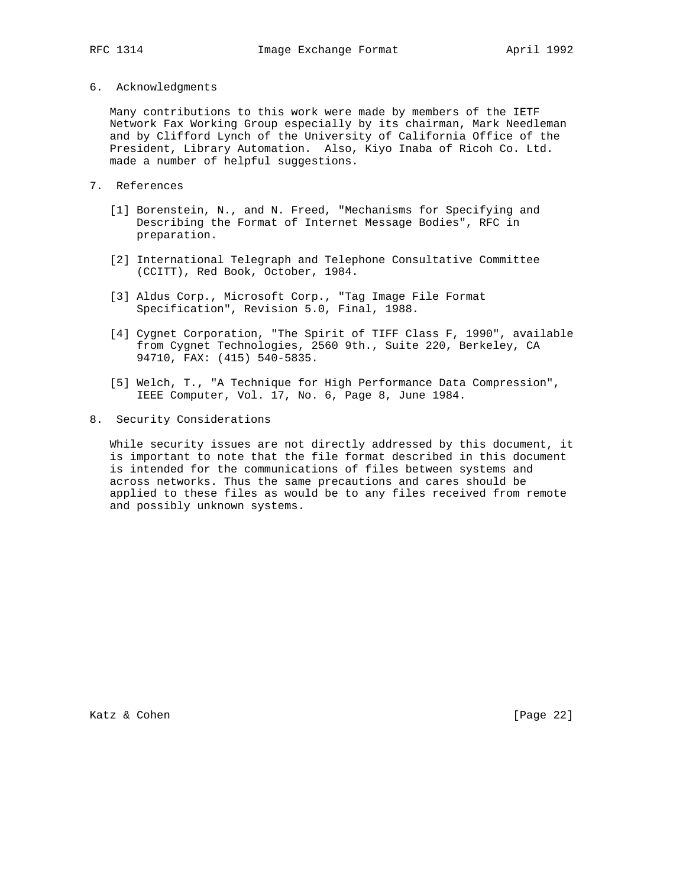#### 6. Acknowledgments

 Many contributions to this work were made by members of the IETF Network Fax Working Group especially by its chairman, Mark Needleman and by Clifford Lynch of the University of California Office of the President, Library Automation. Also, Kiyo Inaba of Ricoh Co. Ltd. made a number of helpful suggestions.

- 7. References
	- [1] Borenstein, N., and N. Freed, "Mechanisms for Specifying and Describing the Format of Internet Message Bodies", RFC in preparation.
	- [2] International Telegraph and Telephone Consultative Committee (CCITT), Red Book, October, 1984.
	- [3] Aldus Corp., Microsoft Corp., "Tag Image File Format Specification", Revision 5.0, Final, 1988.
	- [4] Cygnet Corporation, "The Spirit of TIFF Class F, 1990", available from Cygnet Technologies, 2560 9th., Suite 220, Berkeley, CA 94710, FAX: (415) 540-5835.
	- [5] Welch, T., "A Technique for High Performance Data Compression", IEEE Computer, Vol. 17, No. 6, Page 8, June 1984.
- 8. Security Considerations

 While security issues are not directly addressed by this document, it is important to note that the file format described in this document is intended for the communications of files between systems and across networks. Thus the same precautions and cares should be applied to these files as would be to any files received from remote and possibly unknown systems.

Katz & Cohen [Page 22]